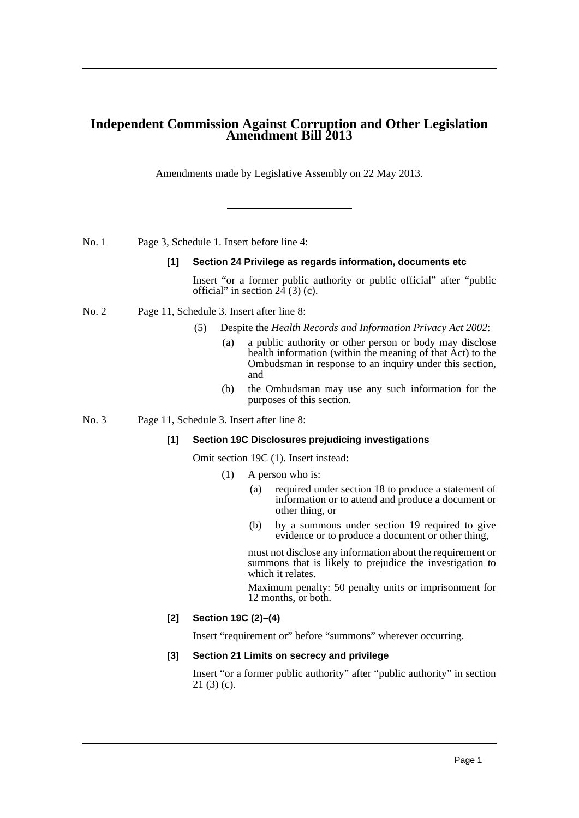# **Independent Commission Against Corruption and Other Legislation Amendment Bill 2013**

Amendments made by Legislative Assembly on 22 May 2013.

No. 1 Page 3, Schedule 1. Insert before line 4:

#### **[1] Section 24 Privilege as regards information, documents etc**

Insert "or a former public authority or public official" after "public official" in section  $2\overline{4}$  (3) (c).

#### No. 2 Page 11, Schedule 3. Insert after line 8:

- (5) Despite the *Health Records and Information Privacy Act 2002*:
	- (a) a public authority or other person or body may disclose health information (within the meaning of that Act) to the Ombudsman in response to an inquiry under this section, and
	- (b) the Ombudsman may use any such information for the purposes of this section.

No. 3 Page 11, Schedule 3. Insert after line 8:

## **[1] Section 19C Disclosures prejudicing investigations**

Omit section 19C (1). Insert instead:

- (1) A person who is:
	- (a) required under section 18 to produce a statement of information or to attend and produce a document or other thing, or
	- (b) by a summons under section 19 required to give evidence or to produce a document or other thing,

must not disclose any information about the requirement or summons that is likely to prejudice the investigation to which it relates.

Maximum penalty: 50 penalty units or imprisonment for 12 months, or both.

## **[2] Section 19C (2)–(4)**

Insert "requirement or" before "summons" wherever occurring.

## **[3] Section 21 Limits on secrecy and privilege**

Insert "or a former public authority" after "public authority" in section  $21(3)(c)$ .